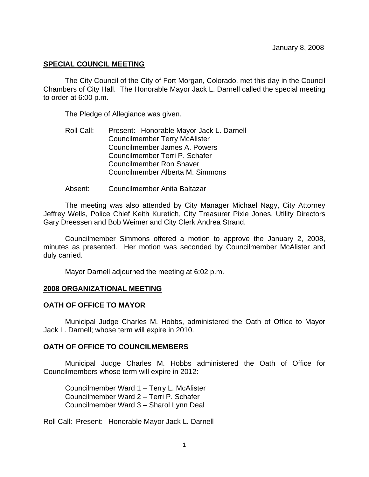## **SPECIAL COUNCIL MEETING**

The City Council of the City of Fort Morgan, Colorado, met this day in the Council Chambers of City Hall. The Honorable Mayor Jack L. Darnell called the special meeting to order at 6:00 p.m.

The Pledge of Allegiance was given.

- Roll Call: Present: Honorable Mayor Jack L. Darnell Councilmember Terry McAlister Councilmember James A. Powers Councilmember Terri P. Schafer Councilmember Ron Shaver Councilmember Alberta M. Simmons
- Absent: Councilmember Anita Baltazar

 The meeting was also attended by City Manager Michael Nagy, City Attorney Jeffrey Wells, Police Chief Keith Kuretich, City Treasurer Pixie Jones, Utility Directors Gary Dreessen and Bob Weimer and City Clerk Andrea Strand.

Councilmember Simmons offered a motion to approve the January 2, 2008, minutes as presented. Her motion was seconded by Councilmember McAlister and duly carried.

Mayor Darnell adjourned the meeting at 6:02 p.m.

#### **2008 ORGANIZATIONAL MEETING**

## **OATH OF OFFICE TO MAYOR**

Municipal Judge Charles M. Hobbs, administered the Oath of Office to Mayor Jack L. Darnell; whose term will expire in 2010.

#### **OATH OF OFFICE TO COUNCILMEMBERS**

 Municipal Judge Charles M. Hobbs administered the Oath of Office for Councilmembers whose term will expire in 2012:

 Councilmember Ward 1 – Terry L. McAlister Councilmember Ward 2 – Terri P. Schafer Councilmember Ward 3 – Sharol Lynn Deal

Roll Call: Present: Honorable Mayor Jack L. Darnell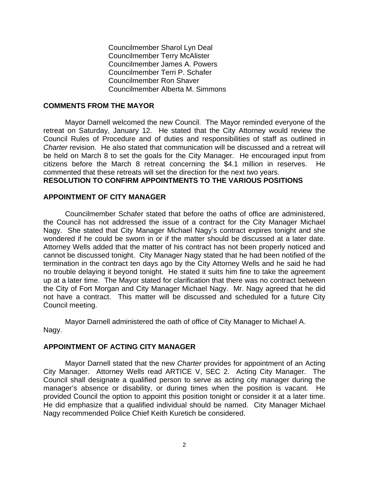Councilmember Sharol Lyn Deal Councilmember Terry McAlister Councilmember James A. Powers Councilmember Terri P. Schafer Councilmember Ron Shaver Councilmember Alberta M. Simmons

#### **COMMENTS FROM THE MAYOR**

Mayor Darnell welcomed the new Council. The Mayor reminded everyone of the retreat on Saturday, January 12. He stated that the City Attorney would review the Council Rules of Procedure and of duties and responsibilities of staff as outlined in *Charter* revision. He also stated that communication will be discussed and a retreat will be held on March 8 to set the goals for the City Manager. He encouraged input from citizens before the March 8 retreat concerning the \$4.1 million in reserves. He commented that these retreats will set the direction for the next two years. **RESOLUTION TO CONFIRM APPOINTMENTS TO THE VARIOUS POSITIONS** 

## **APPOINTMENT OF CITY MANAGER**

Councilmember Schafer stated that before the oaths of office are administered, the Council has not addressed the issue of a contract for the City Manager Michael Nagy. She stated that City Manager Michael Nagy's contract expires tonight and she wondered if he could be sworn in or if the matter should be discussed at a later date. Attorney Wells added that the matter of his contract has not been properly noticed and cannot be discussed tonight. City Manager Nagy stated that he had been notified of the termination in the contract ten days ago by the City Attorney Wells and he said he had no trouble delaying it beyond tonight. He stated it suits him fine to take the agreement up at a later time. The Mayor stated for clarification that there was no contract between the City of Fort Morgan and City Manager Michael Nagy. Mr. Nagy agreed that he did not have a contract. This matter will be discussed and scheduled for a future City Council meeting.

Mayor Darnell administered the oath of office of City Manager to Michael A. Nagy.

#### **APPOINTMENT OF ACTING CITY MANAGER**

Mayor Darnell stated that the new *Charter* provides for appointment of an Acting City Manager. Attorney Wells read ARTICE V, SEC 2. Acting City Manager. The Council shall designate a qualified person to serve as acting city manager during the manager's absence or disability, or during times when the position is vacant. He provided Council the option to appoint this position tonight or consider it at a later time. He did emphasize that a qualified individual should be named. City Manager Michael Nagy recommended Police Chief Keith Kuretich be considered.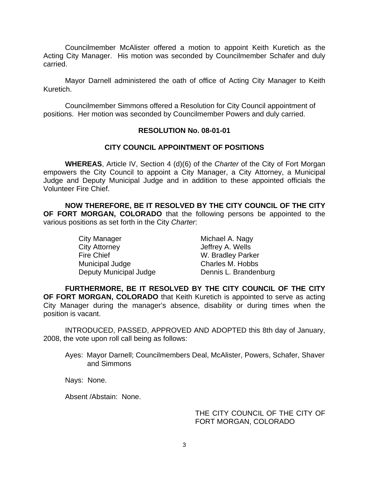Councilmember McAlister offered a motion to appoint Keith Kuretich as the Acting City Manager. His motion was seconded by Councilmember Schafer and duly carried.

Mayor Darnell administered the oath of office of Acting City Manager to Keith Kuretich.

Councilmember Simmons offered a Resolution for City Council appointment of positions. Her motion was seconded by Councilmember Powers and duly carried.

## **RESOLUTION No. 08-01-01**

## **CITY COUNCIL APPOINTMENT OF POSITIONS**

 **WHEREAS**, Article IV, Section 4 (d)(6) of the *Charter* of the City of Fort Morgan empowers the City Council to appoint a City Manager, a City Attorney, a Municipal Judge and Deputy Municipal Judge and in addition to these appointed officials the Volunteer Fire Chief.

**NOW THEREFORE, BE IT RESOLVED BY THE CITY COUNCIL OF THE CITY OF FORT MORGAN, COLORADO** that the following persons be appointed to the various positions as set forth in the City *Charter*:

| City Manager           | Michael A. Nagy       |
|------------------------|-----------------------|
| <b>City Attorney</b>   | Jeffrey A. Wells      |
| <b>Fire Chief</b>      | W. Bradley Parker     |
| Municipal Judge        | Charles M. Hobbs      |
| Deputy Municipal Judge | Dennis L. Brandenburg |

**FURTHERMORE, BE IT RESOLVED BY THE CITY COUNCIL OF THE CITY OF FORT MORGAN, COLORADO** that Keith Kuretich is appointed to serve as acting City Manager during the manager's absence, disability or during times when the position is vacant.

INTRODUCED, PASSED, APPROVED AND ADOPTED this 8th day of January, 2008, the vote upon roll call being as follows:

Ayes: Mayor Darnell; Councilmembers Deal, McAlister, Powers, Schafer, Shaver and Simmons

Nays: None.

Absent /Abstain: None.

## THE CITY COUNCIL OF THE CITY OF FORT MORGAN, COLORADO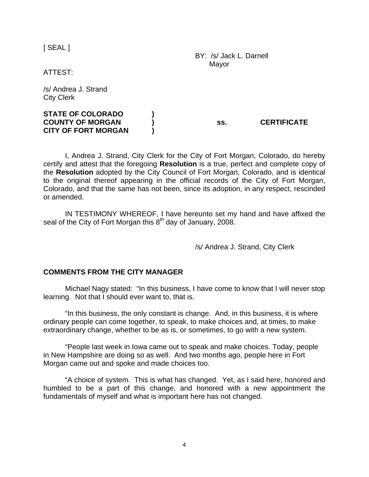[ SEAL ]

 BY: /s/ Jack L. Darnell Mayor

ATTEST:

/s/ Andrea J. Strand City Clerk

| <b>STATE OF COLORADO</b>   |     |                    |
|----------------------------|-----|--------------------|
| <b>COUNTY OF MORGAN</b>    | SS. | <b>CERTIFICATE</b> |
| <b>CITY OF FORT MORGAN</b> |     |                    |

I, Andrea J. Strand, City Clerk for the City of Fort Morgan, Colorado, do hereby certify and attest that the foregoing **Resolution** is a true, perfect and complete copy of the **Resolution** adopted by the City Council of Fort Morgan, Colorado, and is identical to the original thereof appearing in the official records of the City of Fort Morgan, Colorado, and that the same has not been, since its adoption, in any respect, rescinded or amended.

IN TESTIMONY WHEREOF, I have hereunto set my hand and have affixed the seal of the City of Fort Morgan this  $8<sup>th</sup>$  day of January, 2008.

/s/ Andrea J. Strand, City Clerk

#### **COMMENTS FROM THE CITY MANAGER**

 Michael Nagy stated: "In this business, I have come to know that I will never stop learning. Not that I should ever want to, that is.

 "In this business, the only constant is change. And, in this business, it is where ordinary people can come together, to speak, to make choices and, at times, to make extraordinary change, whether to be as is, or sometimes, to go with a new system.

 "People last week in Iowa came out to speak and make choices. Today, people in New Hampshire are doing so as well. And two months ago, people here in Fort Morgan came out and spoke and made choices too.

 "A choice of system. This is what has changed. Yet, as I said here, honored and humbled to be a part of this change, and honored with a new appointment the fundamentals of myself and what is important here has not changed.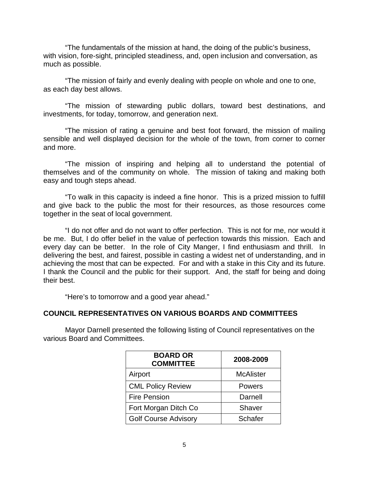"The fundamentals of the mission at hand, the doing of the public's business, with vision, fore-sight, principled steadiness, and, open inclusion and conversation, as much as possible.

 "The mission of fairly and evenly dealing with people on whole and one to one, as each day best allows.

 "The mission of stewarding public dollars, toward best destinations, and investments, for today, tomorrow, and generation next.

 "The mission of rating a genuine and best foot forward, the mission of mailing sensible and well displayed decision for the whole of the town, from corner to corner and more.

 "The mission of inspiring and helping all to understand the potential of themselves and of the community on whole. The mission of taking and making both easy and tough steps ahead.

 "To walk in this capacity is indeed a fine honor. This is a prized mission to fulfill and give back to the public the most for their resources, as those resources come together in the seat of local government.

 "I do not offer and do not want to offer perfection. This is not for me, nor would it be me. But, I do offer belief in the value of perfection towards this mission. Each and every day can be better. In the role of City Manger, I find enthusiasm and thrill. In delivering the best, and fairest, possible in casting a widest net of understanding, and in achieving the most that can be expected. For and with a stake in this City and its future. I thank the Council and the public for their support. And, the staff for being and doing their best.

"Here's to tomorrow and a good year ahead."

#### **COUNCIL REPRESENTATIVES ON VARIOUS BOARDS AND COMMITTEES**

Mayor Darnell presented the following listing of Council representatives on the various Board and Committees.

| <b>BOARD OR</b><br><b>COMMITTEE</b> | 2008-2009        |
|-------------------------------------|------------------|
| Airport                             | <b>McAlister</b> |
| <b>CML Policy Review</b>            | <b>Powers</b>    |
| <b>Fire Pension</b>                 | Darnell          |
| Fort Morgan Ditch Co                | Shaver           |
| <b>Golf Course Advisory</b>         | <b>Schafer</b>   |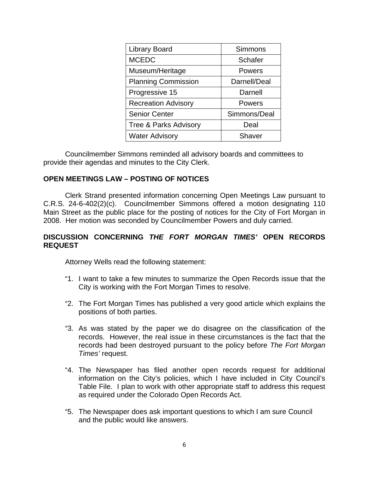| <b>Library Board</b>       | Simmons      |
|----------------------------|--------------|
| <b>MCEDC</b>               | Schafer      |
| Museum/Heritage            | Powers       |
| <b>Planning Commission</b> | Darnell/Deal |
| Progressive 15             | Darnell      |
| <b>Recreation Advisory</b> | Powers       |
| <b>Senior Center</b>       | Simmons/Deal |
| Tree & Parks Advisory      | Deal         |
| <b>Water Advisory</b>      | Shaver       |

Councilmember Simmons reminded all advisory boards and committees to provide their agendas and minutes to the City Clerk.

## **OPEN MEETINGS LAW – POSTING OF NOTICES**

 Clerk Strand presented information concerning Open Meetings Law pursuant to C.R.S. 24-6-402(2)(c). Councilmember Simmons offered a motion designating 110 Main Street as the public place for the posting of notices for the City of Fort Morgan in 2008. Her motion was seconded by Councilmember Powers and duly carried.

## **DISCUSSION CONCERNING** *THE FORT MORGAN TIMES'* **OPEN RECORDS REQUEST**

Attorney Wells read the following statement:

- "1. I want to take a few minutes to summarize the Open Records issue that the City is working with the Fort Morgan Times to resolve.
- "2. The Fort Morgan Times has published a very good article which explains the positions of both parties.
- "3. As was stated by the paper we do disagree on the classification of the records. However, the real issue in these circumstances is the fact that the records had been destroyed pursuant to the policy before *The Fort Morgan Times'* request.
- "4. The Newspaper has filed another open records request for additional information on the City's policies, which I have included in City Council's Table File. I plan to work with other appropriate staff to address this request as required under the Colorado Open Records Act.
- "5. The Newspaper does ask important questions to which I am sure Council and the public would like answers.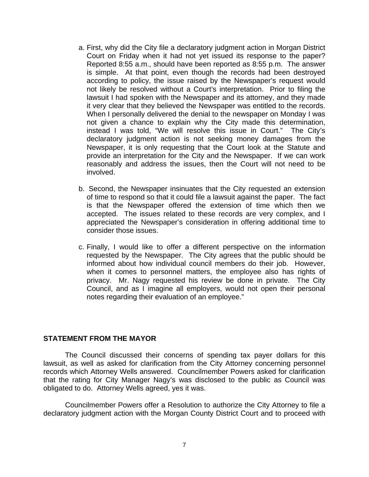- a. First, why did the City file a declaratory judgment action in Morgan District Court on Friday when it had not yet issued its response to the paper? Reported 8:55 a.m., should have been reported as 8:55 p.m. The answer is simple. At that point, even though the records had been destroyed according to policy, the issue raised by the Newspaper's request would not likely be resolved without a Court's interpretation. Prior to filing the lawsuit I had spoken with the Newspaper and its attorney, and they made it very clear that they believed the Newspaper was entitled to the records. When I personally delivered the denial to the newspaper on Monday I was not given a chance to explain why the City made this determination, instead I was told, "We will resolve this issue in Court." The City's declaratory judgment action is not seeking money damages from the Newspaper, it is only requesting that the Court look at the Statute and provide an interpretation for the City and the Newspaper. If we can work reasonably and address the issues, then the Court will not need to be involved.
- b. Second, the Newspaper insinuates that the City requested an extension of time to respond so that it could file a lawsuit against the paper. The fact is that the Newspaper offered the extension of time which then we accepted. The issues related to these records are very complex, and I appreciated the Newspaper's consideration in offering additional time to consider those issues.
- c. Finally, I would like to offer a different perspective on the information requested by the Newspaper. The City agrees that the public should be informed about how individual council members do their job. However, when it comes to personnel matters, the employee also has rights of privacy. Mr. Nagy requested his review be done in private. The City Council, and as I imagine all employers, would not open their personal notes regarding their evaluation of an employee."

#### **STATEMENT FROM THE MAYOR**

The Council discussed their concerns of spending tax payer dollars for this lawsuit, as well as asked for clarification from the City Attorney concerning personnel records which Attorney Wells answered. Councilmember Powers asked for clarification that the rating for City Manager Nagy's was disclosed to the public as Council was obligated to do. Attorney Wells agreed, yes it was.

Councilmember Powers offer a Resolution to authorize the City Attorney to file a declaratory judgment action with the Morgan County District Court and to proceed with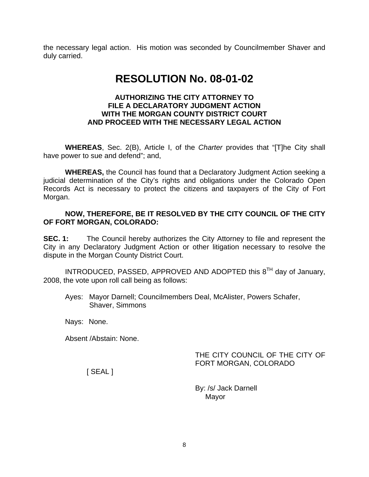the necessary legal action. His motion was seconded by Councilmember Shaver and duly carried.

# **RESOLUTION No. 08-01-02**

## **AUTHORIZING THE CITY ATTORNEY TO FILE A DECLARATORY JUDGMENT ACTION WITH THE MORGAN COUNTY DISTRICT COURT AND PROCEED WITH THE NECESSARY LEGAL ACTION**

**WHEREAS**, Sec. 2(B), Article I, of the *Charter* provides that "[T]he City shall have power to sue and defend"; and,

**WHEREAS,** the Council has found that a Declaratory Judgment Action seeking a judicial determination of the City's rights and obligations under the Colorado Open Records Act is necessary to protect the citizens and taxpayers of the City of Fort Morgan.

## **NOW, THEREFORE, BE IT RESOLVED BY THE CITY COUNCIL OF THE CITY OF FORT MORGAN, COLORADO:**

**SEC. 1:** The Council hereby authorizes the City Attorney to file and represent the City in any Declaratory Judgment Action or other litigation necessary to resolve the dispute in the Morgan County District Court.

INTRODUCED, PASSED, APPROVED AND ADOPTED this 8TH day of January, 2008, the vote upon roll call being as follows:

Ayes: Mayor Darnell; Councilmembers Deal, McAlister, Powers Schafer, Shaver, Simmons

Nays: None.

Absent /Abstain: None.

THE CITY COUNCIL OF THE CITY OF FORT MORGAN, COLORADO

[ SEAL ]

 By: /s/ Jack Darnell Mayor